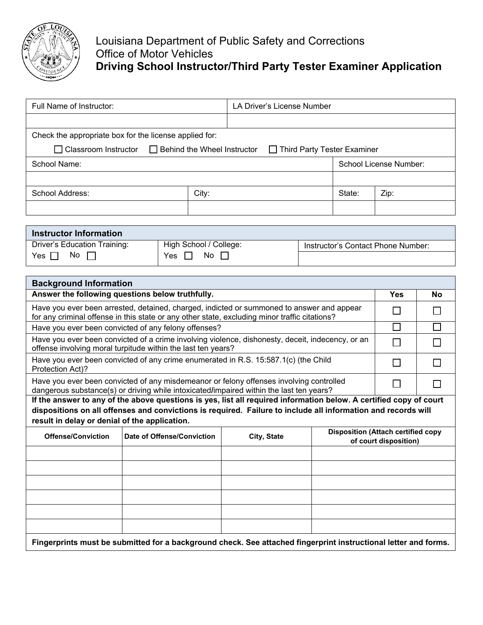

## Louisiana Department of Public Safety and Corrections Office of Motor Vehicles **Driving School Instructor/Third Party Tester Examiner Application**

| Full Name of Instructor:                                                                      |       | LA Driver's License Number |        |      |
|-----------------------------------------------------------------------------------------------|-------|----------------------------|--------|------|
|                                                                                               |       |                            |        |      |
| Check the appropriate box for the license applied for:                                        |       |                            |        |      |
| □ Behind the Wheel Instructor<br>□ Third Party Tester Examiner<br>$\Box$ Classroom Instructor |       |                            |        |      |
| School Name:                                                                                  |       | School License Number:     |        |      |
|                                                                                               |       |                            |        |      |
| School Address:                                                                               | City: |                            | State: | Zip: |
|                                                                                               |       |                            |        |      |

| Instructor Information              |                                                                  |  |
|-------------------------------------|------------------------------------------------------------------|--|
| <b>Driver's Education Training:</b> | High School / College:                                           |  |
| No $\Box$<br>Yes $\Box$             | $\overline{\mathsf{No}}$ $\overline{\mathsf{\Pi}}$<br>Yes $\Box$ |  |

| <b>Background Information</b>                                                                                                                                                              |                                                                                                                    |             |  |                                                                     |           |
|--------------------------------------------------------------------------------------------------------------------------------------------------------------------------------------------|--------------------------------------------------------------------------------------------------------------------|-------------|--|---------------------------------------------------------------------|-----------|
| Answer the following questions below truthfully.                                                                                                                                           |                                                                                                                    |             |  | <b>Yes</b>                                                          | <b>No</b> |
| Have you ever been arrested, detained, charged, indicted or summoned to answer and appear<br>for any criminal offense in this state or any other state, excluding minor traffic citations? |                                                                                                                    |             |  |                                                                     |           |
|                                                                                                                                                                                            | Have you ever been convicted of any felony offenses?                                                               |             |  | $\Box$                                                              |           |
| Have you ever been convicted of a crime involving violence, dishonesty, deceit, indecency, or an<br>offense involving moral turpitude within the last ten years?                           |                                                                                                                    |             |  | П                                                                   |           |
| Have you ever been convicted of any crime enumerated in R.S. 15:587.1(c) (the Child<br>Protection Act)?                                                                                    |                                                                                                                    |             |  | $\Box$                                                              |           |
| Have you ever been convicted of any misdemeanor or felony offenses involving controlled<br>dangerous substance(s) or driving while intoxicated/impaired within the last ten years?         |                                                                                                                    |             |  |                                                                     |           |
|                                                                                                                                                                                            | If the answer to any of the above questions is yes, list all required information below. A certified copy of court |             |  |                                                                     |           |
|                                                                                                                                                                                            | dispositions on all offenses and convictions is required. Failure to include all information and records will      |             |  |                                                                     |           |
| result in delay or denial of the application.                                                                                                                                              |                                                                                                                    |             |  |                                                                     |           |
| <b>Offense/Conviction</b>                                                                                                                                                                  | Date of Offense/Conviction                                                                                         | City, State |  | <b>Disposition (Attach certified copy)</b><br>of court disposition) |           |
|                                                                                                                                                                                            |                                                                                                                    |             |  |                                                                     |           |
|                                                                                                                                                                                            |                                                                                                                    |             |  |                                                                     |           |
|                                                                                                                                                                                            |                                                                                                                    |             |  |                                                                     |           |
|                                                                                                                                                                                            |                                                                                                                    |             |  |                                                                     |           |
|                                                                                                                                                                                            |                                                                                                                    |             |  |                                                                     |           |
|                                                                                                                                                                                            |                                                                                                                    |             |  |                                                                     |           |
| Fingerprints must be submitted for a background check. See attached fingerprint instructional letter and forms.                                                                            |                                                                                                                    |             |  |                                                                     |           |